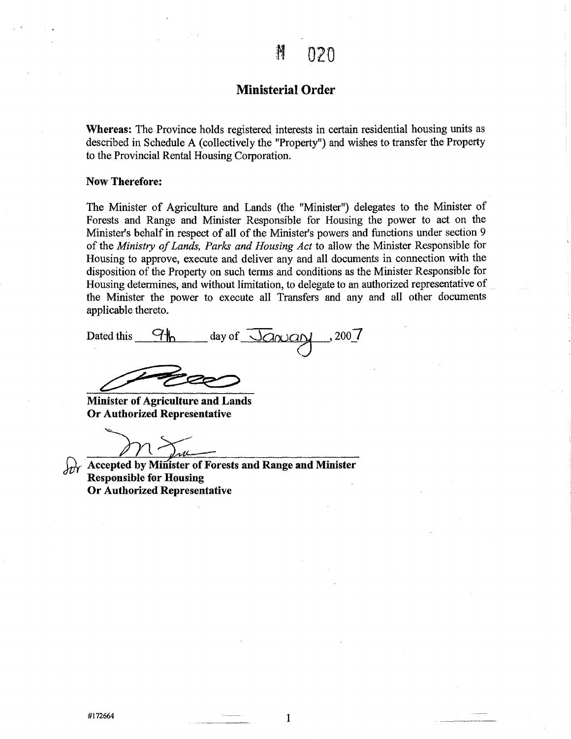#### **Ministerial Order**

**Whereas:** The Province holds registered interests in certain residential housing units as described in Schedule A (collectively the "Property") and wishes to transfer the Property to the Provincial Rental Housing Corporation.

#### **Now Therefore:**

The Minister of Agriculture and Lands (the "Minister") delegates to the Minister of Forests and Range and Minister Responsible for Housing the power to act on the Minister's behalf in respect of all of the Minister's powers and functions under section 9 of the *Ministry of Lands, Parks and Housing Act* to allow the Minister Responsible for Housing to approve, execute and deliver any and all documents in connection with the disposition of the Property on such terms and conditions as the Minister Responsible for Housing determines, and without limitation, to delegate to an authorized representative of the Minister the power to execute all Transfers and any and all other documents applicable thereto.

| Dated this | day of $\sqrt{a}$ $\alpha$ $\alpha$ $\gamma$ , 200 $\gamma$ |  |
|------------|-------------------------------------------------------------|--|
|            |                                                             |  |

Minister of Agriculture and Lands Or Authorized Representative

**Accepted by Minister of Forests and Range and Minister** Responsible for Housing Or Authorized Representative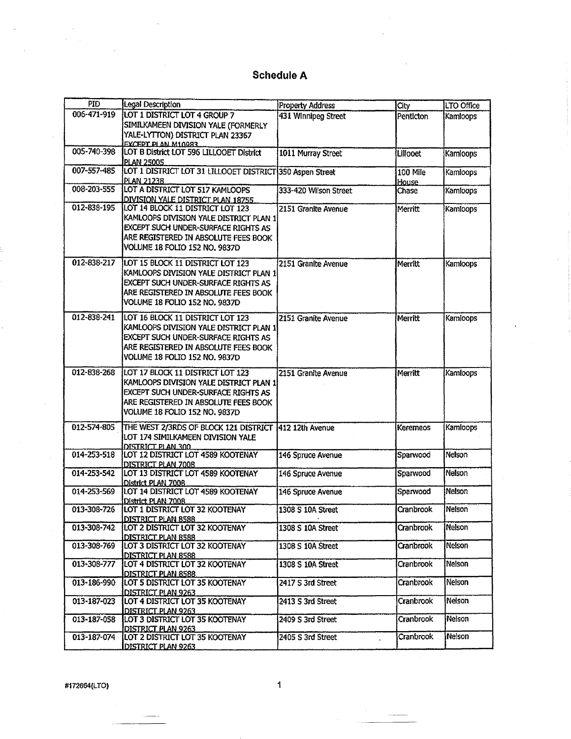| <b>PID</b>  | Legal Description                                        | Property Address      | City            | LTO Office |
|-------------|----------------------------------------------------------|-----------------------|-----------------|------------|
| 006-471-919 | LOT 1 DISTRICT LOT 4 GROUP 7                             | 431 Winnipeg Street   | Penticton       | Kamloops   |
|             | SIMILKAMEEN DIVISION YALE (FORMERLY                      |                       |                 |            |
|             | YALE-LYTTON) DISTRICT PLAN 23367                         |                       |                 |            |
|             | ΕΧΩΈΡΤΡΙ ΔΝ Μ10983                                       |                       |                 |            |
| 005-740-398 | LOT B District LOT 596 LILLOOET District                 | 1011 Murray Street    | Lillooet        | Kamloops   |
|             | <b>PLAN 25005</b>                                        |                       |                 |            |
| 007-557-485 | LOT 1 DISTRICT LOT 31 LILLOOET DISTRICT 350 Aspen Street |                       | 100 Mile        | Kamloops   |
|             | <b>PLAN 21238</b>                                        |                       | House           |            |
| 008-203-555 | LOT A DISTRICT LOT 517 KAMLOOPS                          | 333-420 Wilson Street | Chase           | Kamloops   |
|             | DIVISION YALE DISTRICT PLAN 18755                        |                       |                 |            |
| 012-838-195 | LOT 14 BLOCK 11 DISTRICT LOT 123                         | 2151 Granite Avenue   | Merritt         | Kamloops   |
|             | KAMLOOPS DIVISION YALE DISTRICT PLAN 1                   |                       |                 |            |
|             | EXCEPT SUCH UNDER-SURFACE RIGHTS AS                      |                       |                 |            |
|             | ARE REGISTERED IN ABSOLUTE FEES BOOK                     |                       |                 |            |
|             | VOLUME 18 FOLIO 152 NO. 9837D                            |                       |                 |            |
|             |                                                          |                       |                 |            |
| 012-838-217 | LOT 15 BLOCK 11 DISTRICT LOT 123                         | 2151 Granite Avenue   | Merritt         | Kamloops   |
|             | KAMLOOPS DIVISION YALE DISTRICT PLAN 1                   |                       |                 |            |
|             | EXCEPT SUCH UNDER-SURFACE RIGHTS AS                      |                       |                 |            |
|             | ARE REGISTERED IN ABSOLUTE FEES BOOK                     |                       |                 |            |
|             | VOLUME 18 FOLIO 152 NO. 9837D                            |                       |                 |            |
|             |                                                          |                       |                 |            |
| 012-838-241 | LOT 16 BLOCK 11 DISTRICT LOT 123                         | 2151 Granite Avenue   | Merritt         | Kamloops   |
|             | KAMLOOPS DIVISION YALE DISTRICT PLAN 1                   |                       |                 |            |
|             | EXCEPT SUCH UNDER-SURFACE RIGHTS AS                      |                       |                 |            |
|             | ARE REGISTERED IN ABSOLUTE FEES BOOK                     |                       |                 |            |
|             | VOLUME 18 FOLIO 152 NO. 9837D                            |                       |                 |            |
| 012-838-268 | LOT 17 BLOCK 11 DISTRICT LOT 123                         | 2151 Granite Avenue   | Merritt         | Kamloops   |
|             | KAMLOOPS DIVISION YALE DISTRICT PLAN 1                   |                       |                 |            |
|             |                                                          |                       |                 |            |
|             | EXCEPT SUCH UNDER-SURFACE RIGHTS AS                      |                       |                 |            |
|             | ARE REGISTERED IN ABSOLUTE FEES BOOK                     |                       |                 |            |
|             | VOLUME 18 FOLIO 152 NO. 9837D                            |                       |                 |            |
| 012-574-805 | THE WEST 2/3RDS OF BLOCK 121 DISTRICT 412 12th Avenue    |                       | <b>Keremeos</b> | Kamloops   |
|             | LOT 174 SIMILKAMEEN DIVISION YALE                        |                       |                 |            |
|             | DISTRICT PLAN 300                                        |                       |                 |            |
| 014-253-518 | LOT 12 DISTRICT LOT 4589 KOOTENAY                        | 146 Spruce Avenue     | Sparwood        | Nelson     |
|             | DISTRICT PLAN 7008                                       |                       |                 |            |
| 014-253-542 | LOT 13 DISTRICT LOT 4589 KOOTENAY                        | 146 Spruce Avenue     | Sparwood        | Nelson     |
|             | District PLAN 7008                                       |                       |                 |            |
| 014-253-569 | LOT 14 DISTRICT LOT 4589 KOOTENAY                        | 146 Spruce Avenue     | Sparwood        | Nelson     |
|             | District PLAN 7008                                       |                       |                 |            |
| 013-308-726 | LOT 1 DISTRICT LOT 32 KOOTENAY                           | 1308 S 10A Street     | Cranbrook       | Nelson     |
|             | <u>DISTRICT PLAN 8588.</u>                               |                       |                 |            |
| 013-308-742 | LOT 2 DISTRICT LOT 32 KOOTENAY                           | 1308 S 10A Street     | Cranbrook       | Nelson     |
| 013-308-769 | DISTRICT PLAN 8588<br>LOT 3 DISTRICT LOT 32 KOOTENAY     |                       | Cranbrook       | Nelson     |
|             |                                                          | 1308 S 10A Street     |                 |            |
| 013-308-777 | DISTRICT PLAN 8588<br>LOT 4 DISTRICT LOT 32 KOOTENAY     | 1308 S 10A Street     | Cranbrook       | Nelson     |
|             | DISTRICT PLAN 8588                                       |                       |                 |            |
| 013-186-990 | LOT 5 DISTRICT LOT 35 KOOTENAY                           | 2417 S 3rd Street     | Cranbrook       | Nelson     |
|             | <b>DISTRICT PLAN 9263</b>                                |                       |                 |            |
| 013-187-023 | LOT 4 DISTRICT LOT 35 KOOTENAY                           | 2413 S 3rd Street     | Cranbrook       | Nelson     |
|             | DISTRICT_PLAN 9263                                       |                       |                 |            |
| 013-187-058 | LOT 3 DISTRICT LOT 35 KOOTENAY                           | 2409 S 3rd Street     | Cranbrook       | Nelson     |
|             | DISTRICT PLAN 9263                                       |                       |                 |            |
| 013-187-074 | LOT 2 DISTRICT LOT 35 KOOTENAY                           | 2405 S 3rd Street     | Cranbrook       | Nelson     |
|             | DISTRICT PLAN 9263                                       |                       |                 |            |

#172664(LTO)

 $\mathbf{1}$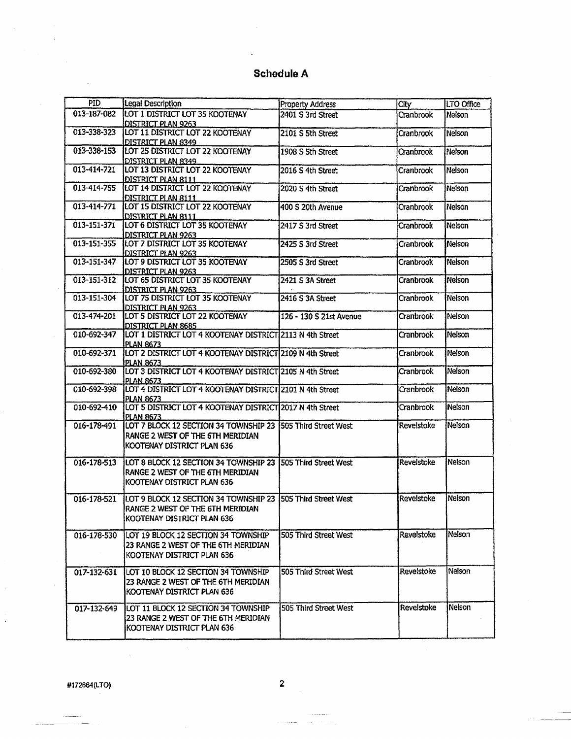| <b>PID</b>  | Legal Description                                            | Property Address        | City       | LTO Office      |
|-------------|--------------------------------------------------------------|-------------------------|------------|-----------------|
| 013-187-082 | LOT 1 DISTRICT LOT 35 KOOTENAY                               | 2401 S 3rd Street       | Cranbrook  | Nelson          |
|             | <b>DISTRICT PLAN 9263</b>                                    |                         |            |                 |
| 013-338-323 | LOT 11 DISTRICT LOT 22 KOOTENAY                              | 2101 S 5th Street       | Cranbrook  | Nelson          |
|             | DISTRICT PLAN 8349                                           |                         |            |                 |
| 013-338-153 | LOT 25 DISTRICT LOT 22 KOOTENAY                              | 1908 S 5th Street       | Cranbrook  | Nelson          |
|             | <b>DISTRICT PLAN 8349</b>                                    |                         |            |                 |
| 013-414-721 | LOT 13 DISTRICT LOT 22 KOOTENAY                              | 2016 S 4th Street       | Cranbrook  | Nelson          |
|             | DISTRICT PLAN 8111                                           |                         |            |                 |
| 013-414-755 | LOT 14 DISTRICT LOT 22 KOOTENAY                              | 2020 S 4th Street       | Cranbrook  | Nelson          |
|             | DISTRICT PLAN 8111                                           |                         |            |                 |
| 013-414-771 | LOT 15 DISTRICT LOT 22 KOOTENAY                              | 400 S 20th Avenue       | Cranbrook  | Nelson          |
|             | DISTRICT PLAN 8111                                           |                         |            |                 |
| 013-151-371 | LOT 6 DISTRICT LOT 35 KOOTENAY                               | 2417 S 3rd Street       | Cranbrook  | Nelson          |
|             | DISTRICT PLAN 9263                                           |                         |            |                 |
| 013-151-355 | LOT 7 DISTRICT LOT 35 KOOTENAY                               | 2425 S 3rd Street       | Cranbrook  | Nelson          |
|             | <b>DISTRICT PLAN 9263</b>                                    |                         |            |                 |
| 013-151-347 | LOT 9 DISTRICT LOT 35 KOOTENAY                               | 2505 S 3rd Street       | Cranbrook  | Nelson          |
| 013-151-312 | <b>DISTRICT PLAN 9263</b><br>LOT 65 DISTRICT LOT 35 KOOTENAY | 2421 S 3A Street        | Cranbrook  | Nelson          |
|             | <b>DISTRICT PLAN 9263</b>                                    |                         |            |                 |
| 013-151-304 | LOT 75 DISTRICT LOT 35 KOOTENAY                              | 2416 S 3A Street        | Cranbrook  | Nelson          |
|             | <b>DISTRICT PLAN 9263</b>                                    |                         |            |                 |
| 013-474-201 | LOT 5 DISTRICT LOT 22 KOOTENAY                               | 126 - 130 S 21st Avenue | Cranbrook  | <b>Nelson</b>   |
|             | <b>DISTRICT PLAN 8685</b>                                    |                         |            |                 |
| 010-692-347 | LOT 1 DISTRICT LOT 4 KOOTENAY DISTRICT 2113 N 4th Street     |                         | Cranbrook  | Nelson          |
|             | <b>PLAN 8673</b>                                             |                         |            |                 |
| 010-692-371 | LOT 2 DISTRICT LOT 4 KOOTENAY DISTRICT 2109 N 4th Street     |                         | Cranbrook  | <b>Nelson</b>   |
|             | PLAN 8673                                                    |                         |            |                 |
| 010-692-380 | LOT 3 DISTRICT LOT 4 KOOTENAY DISTRICT 2105 N 4th Street     |                         | Cranbrook  | Nelson          |
|             | <b>PLAN 8673</b>                                             |                         |            |                 |
| 010-692-398 | LOT 4 DISTRICT LOT 4 KOOTENAY DISTRICT 2101 N 4th Street     |                         | Cranbrook  | Nelson          |
|             | PLAN 8673                                                    |                         |            |                 |
| 010-692-410 | LOT 5 DISTRICT LOT 4 KOOTENAY DISTRICT 2017 N 4th Street     |                         | Cranbrook  | Nelson          |
|             | <b>PLAN 8673</b>                                             |                         |            |                 |
| 016-178-491 | LOT 7 BLOCK 12 SECTION 34 TOWNSHIP 23 1505 Third Street West |                         | Revelstoke | Nelson          |
|             | RANGE 2 WEST OF THE 6TH MERIDIAN                             |                         |            |                 |
|             | KOOTENAY DISTRICT PLAN 636                                   |                         |            |                 |
|             |                                                              |                         |            |                 |
| 016-178-513 | LOT 8 BLOCK 12 SECTION 34 TOWNSHIP 23 1505 Third Street West |                         | Revelstoke | Nelson          |
|             | RANGE 2 WEST OF THE 6TH MERIDIAN                             |                         |            |                 |
|             | KOOTENAY DISTRICT PLAN 636                                   |                         |            |                 |
| 016-178-521 | LOT 9 BLOCK 12 SECTION 34 TOWNSHIP 23 505 Third Street West  |                         | Revelstoke | Nelson          |
|             | RANGE 2 WEST OF THE 6TH MERIDIAN                             |                         |            |                 |
|             | IKOOTENAY DISTRICT PLAN 636                                  |                         |            |                 |
|             |                                                              |                         |            |                 |
| 016-178-530 | LOT 19 BLOCK 12 SECTION 34 TOWNSHIP                          | 505 Third Street West   | Revelstoke | <b>i</b> Nelson |
|             | 23 RANGE 2 WEST OF THE 6TH MERIDIAN                          |                         |            |                 |
|             | KOOTENAY DISTRICT PLAN 636                                   |                         |            |                 |
|             |                                                              |                         |            |                 |
| 017-132-631 | LOT 10 BLOCK 12 SECTION 34 TOWNSHIP                          | 505 Third Street West   | Revelstoke | Nelson          |
|             | 23 RANGE 2 WEST OF THE 6TH MERIDIAN                          |                         |            |                 |
|             | KOOTENAY DISTRICT PLAN 636                                   |                         |            |                 |
|             |                                                              |                         |            |                 |
| 017-132-649 | LOT 11 BLOCK 12 SECTION 34 TOWNSHIP                          | 505 Third Street West   | Revelstoke | Nelson          |
|             | 123 RANGE 2 WEST OF THE 6TH MERIDIAN                         |                         |            |                 |
|             | KOOTENAY DISTRICT PLAN 636                                   |                         |            |                 |
|             |                                                              |                         |            |                 |

#172664(LTO)

 $\ddot{\phantom{a}}$ 

 $\ddot{\phantom{a}}$ 

 $\overline{c}$ 

 $\hat{\mathcal{L}}$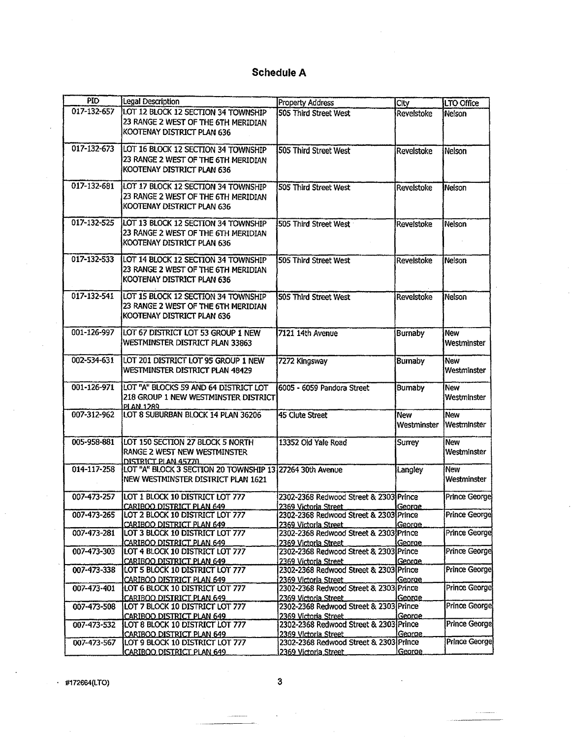| <b>PID</b>  | Legal Description                                            | <b>Property Address</b>                                        | City                 | LTO Office           |
|-------------|--------------------------------------------------------------|----------------------------------------------------------------|----------------------|----------------------|
| 017-132-657 | LOT 12 BLOCK 12 SECTION 34 TOWNSHIP                          | 505 Third Street West                                          | Revelstoke           | Nelson               |
|             | 23 RANGE 2 WEST OF THE 6TH MERIDIAN                          |                                                                |                      |                      |
|             | KOOTENAY DISTRICT PLAN 636                                   |                                                                |                      |                      |
|             |                                                              |                                                                |                      |                      |
| 017-132-673 | LOT 16 BLOCK 12 SECTION 34 TOWNSHIP                          | 505 Third Street West                                          | Revelstoke           | Nelson               |
|             | 23 RANGE 2 WEST OF THE 6TH MERIDIAN                          |                                                                |                      |                      |
|             | KOOTENAY DISTRICT PLAN 636                                   |                                                                |                      |                      |
|             |                                                              |                                                                |                      |                      |
| 017-132-681 | LOT 17 BLOCK 12 SECTION 34 TOWNSHIP                          | 505 Third Street West                                          | Revelstoke           | Nelson               |
|             | 23 RANGE 2 WEST OF THE 6TH MERIDIAN                          |                                                                |                      |                      |
|             | KOOTENAY DISTRICT PLAN 636                                   |                                                                |                      |                      |
|             |                                                              |                                                                |                      |                      |
| 017-132-525 | LOT 13 BLOCK 12 SECTION 34 TOWNSHIP                          | 505 Third Street West                                          | Revelstoke           | Nelson <sup>1</sup>  |
|             | 23 RANGE 2 WEST OF THE 6TH MERIDIAN                          |                                                                |                      |                      |
|             | KOOTENAY DISTRICT PLAN 636                                   |                                                                |                      |                      |
|             |                                                              |                                                                |                      |                      |
| 017-132-533 | LOT 14 BLOCK 12 SECTION 34 TOWNSHIP                          | 505 Third Street West                                          | Revelstoke           | Nelson               |
|             | 23 RANGE 2 WEST OF THE 6TH MERIDIAN                          |                                                                |                      |                      |
|             | KOOTENAY DISTRICT PLAN 636                                   |                                                                |                      |                      |
|             |                                                              |                                                                |                      |                      |
| 017-132-541 | LOT 15 BLOCK 12 SECTION 34 TOWNSHIP                          | 505 Third Street West                                          | <b>Revelstoke</b>    | Nelson               |
|             | 23 RANGE 2 WEST OF THE 6TH MERIDIAN                          |                                                                |                      |                      |
|             | KOOTENAY DISTRICT PLAN 636                                   |                                                                |                      |                      |
|             |                                                              |                                                                |                      |                      |
| 001-126-997 | LOT 67 DISTRICT LOT 53 GROUP 1 NEW                           | 7121 14th Avenue                                               | <b>Burnaby</b>       | New                  |
|             | WESTMINSTER DISTRICT PLAN 33863                              |                                                                |                      | Westminster          |
|             |                                                              |                                                                |                      |                      |
| 002-534-631 | LOT 201 DISTRICT LOT 95 GROUP 1 NEW                          | 7272 Kingsway                                                  | <b>Bumaby</b>        | New                  |
|             | WESTMINSTER DISTRICT PLAN 48429                              |                                                                |                      | Westminster          |
|             |                                                              |                                                                |                      |                      |
| 001-126-971 | LOT "A" BLOCKS 59 AND 64 DISTRICT LOT                        | 6005 - 6059 Pandora Street                                     | <b>Burnaby</b>       | <b>New</b>           |
|             | 218 GROUP 1 NEW WESTMINSTER DISTRICT                         |                                                                |                      | Westminster          |
|             | PLAN 1289                                                    |                                                                |                      |                      |
| 007-312-962 | LOT 8 SUBURBAN BLOCK 14 PLAN 36206                           | 45 Clute Street                                                | New                  | New                  |
|             |                                                              |                                                                | Westminster          | <b>IWestminster</b>  |
|             |                                                              |                                                                |                      |                      |
| 005-958-881 | LOT 150 SECTION 27 BLOCK 5 NORTH                             | 13352 Old Yale Road                                            | <b>Surrey</b>        | New                  |
|             | <b>RANGE 2 WEST NEW WESTMINSTER</b>                          |                                                                |                      | Westminster          |
|             | DISTRICT PLAN 45770                                          |                                                                |                      |                      |
| 014-117-258 | LOT "A" BLOCK 3 SECTION 20 TOWNSHIP 13 27264 30th Avenue     |                                                                | Langley              | New                  |
|             | NEW WESTMINSTER DISTRICT PLAN 1621                           |                                                                |                      | Westminster          |
|             |                                                              |                                                                |                      |                      |
| 007-473-257 | LOT 1 BLOCK 10 DISTRICT LOT 777                              | 2302-2368 Redwood Street & 2303 Prince                         |                      | <b>Prince George</b> |
|             | <b>CARIBOO DISTRICT PLAN 649</b>                             | 2369 Victoria Street                                           | George               |                      |
| 007-473-265 | LOT 2 BLOCK 10 DISTRICT LOT 777                              | 2302-2368 Redwood Street & 2303 Prince                         |                      | <b>Prince George</b> |
|             | CARIBOO DISTRICT PLAN 649                                    | 2369 Victoria Street                                           | George               |                      |
| 007-473-281 | LOT 3 BLOCK 10 DISTRICT LOT 777                              | 2302-2368 Redwood Street & 2303 Prince                         |                      | <b>Prince George</b> |
| 007-473-303 | CARIBOO DISTRICT PLAN 649                                    | 2369 Victoria Street                                           | George               | Prince George        |
|             | LOT 4 BLOCK 10 DISTRICT LOT 777                              | 2302-2368 Redwood Street & 2303 Prince                         |                      |                      |
| 007-473-338 | CARIBOO DISTRICT PLAN 649                                    | 2369 Victoria Street                                           | George.              | Prince George        |
|             | LOT 5 BLOCK 10 DISTRICT LOT 777                              | 2302-2368 Redwood Street & 2303 Prince                         |                      |                      |
| 007-473-401 | CARIBOO DISTRICT PLAN 649                                    | 2369 Victoria Street<br>2302-2368 Redwood Street & 2303 Prince | George               | Prince George        |
|             | LOT 6 BLOCK 10 DISTRICT LOT 777                              |                                                                |                      |                      |
|             | CARIBOO DISTRICT PLAN 649                                    | 2369 Victoria Street<br>2302-2368 Redwood Street & 2303 Prince | George               | <b>Prince George</b> |
| 007-473-508 | LOT 7 BLOCK 10 DISTRICT LOT 777                              |                                                                |                      |                      |
|             | <b>CARIBOO DISTRICT PLAN 649</b>                             | 2369 Victoria Street<br>2302-2368 Redwood Street & 2303 Prince | George               | <b>Prince George</b> |
| 007-473-532 | LOT 8 BLOCK 10 DISTRICT LOT 777                              | 2369 Victoria Street                                           | George.              |                      |
| 007-473-567 | CARIBOO DISTRICT PLAN 649<br>LOT 9 BLOCK 10 DISTRICT LOT 777 | 2302-2368 Redwood Street & 2303 Prince                         |                      | Prince George        |
|             | CARIBOO DISTRICT PLAN 649                                    | 2369 Victoria Street                                           | <i><b>George</b></i> |                      |
|             |                                                              |                                                                |                      |                      |

 $\cdot$  #172664(LTO) 3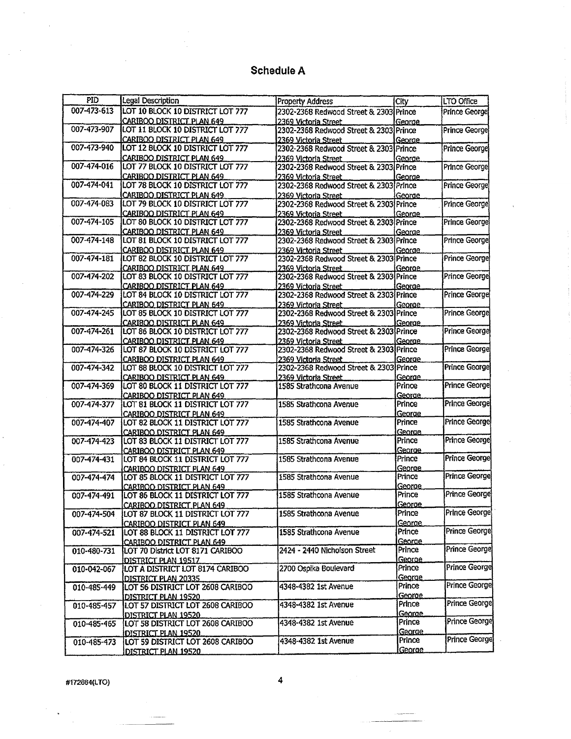| PID         | Legal Description                                                    | <b>Property Address</b>                                         | City               | LTO Office           |
|-------------|----------------------------------------------------------------------|-----------------------------------------------------------------|--------------------|----------------------|
| 007-473-613 | LOT 10 BLOCK 10 DISTRICT LOT 777                                     | 2302-2368 Redwood Street & 2303 Prince                          |                    | <b>Prince George</b> |
|             | CARIBOO DISTRICT PLAN 649                                            | 2369 Victoria Street                                            | George             |                      |
| 007-473-907 | LOT 11 BLOCK 10 DISTRICT LOT 777                                     | 2302-2368 Redwood Street & 2303 Prince                          |                    | Prince George        |
|             | CARIBOO DISTRICT PLAN 649                                            | 2369 Victoria Street                                            | <u>George</u>      |                      |
| 007-473-940 | LOT 12 BLOCK 10 DISTRICT LOT 777                                     | 2302-2368 Redwood Street & 2303 Prince                          |                    | <b>Prince George</b> |
|             | <b>CARIBOO DISTRICT PLAN 649</b>                                     | 2369 Victoria Street                                            | George             |                      |
| 007-474-016 | LOT 77 BLOCK 10 DISTRICT LOT 777                                     | 2302-2368 Redwood Street & 2303 Prince                          |                    | Prince George        |
|             | CARIBOO DISTRICT PLAN 649                                            | 2369 Victoria Street                                            | George             |                      |
| 007-474-041 | LOT 78 BLOCK 10 DISTRICT LOT 777                                     | 2302-2368 Redwood Street & 2303 Prince                          |                    | Prince George        |
|             | CARIBOO DISTRICT PLAN 649                                            | 2369 Victoria Street                                            | George             |                      |
| 007-474-083 | LOT 79 BLOCK 10 DISTRICT LOT 777                                     | 2302-2368 Redwood Street & 2303 Prince                          |                    | <b>Prince George</b> |
|             | CARIBOO DISTRICT PLAN 649                                            | 2369 Victoria Street                                            | George             |                      |
| 007-474-105 | LOT 80 BLOCK 10 DISTRICT LOT 777                                     | 2302-2368 Redwood Street & 2303 Prince                          |                    | Prince Georgel       |
|             | CARIBOO DISTRICT PLAN 649                                            | 2369 Victoria Street                                            | George             |                      |
| 007-474-148 | LOT 81 BLOCK 10 DISTRICT LOT 777                                     | 2302-2368 Redwood Street & 2303 Prince                          |                    | Prince George        |
|             | CARIBOO DISTRICT PLAN 649                                            | 2369 Victoria Street                                            | George             |                      |
| 007-474-181 | LOT 82 BLOCK 10 DISTRICT LOT 777                                     | 2302-2368 Redwood Street & 2303 Prince                          |                    | Prince George        |
|             | CARIBOO DISTRICT PLAN 649                                            | 2369 Victoria Street                                            | George             |                      |
| 007-474-202 | LOT 83 BLOCK 10 DISTRICT LOT 777                                     | 2302-2368 Redwood Street & 2303 Prince                          |                    | Prince George        |
|             | CARIBOO DISTRICT PLAN 649                                            | 2369 Victoria Street                                            | George             |                      |
| 007-474-229 | LOT 84 BLOCK 10 DISTRICT LOT 777                                     | 2302-2368 Redwood Street & 2303 Prince                          |                    | Prince George        |
|             | CARIBOO DISTRICT PLAN 649                                            | 2369 Victoria Street                                            |                    |                      |
| 007-474-245 | LOT 85 BLOCK 10 DISTRICT LOT 777                                     | 2302-2368 Redwood Street & 2303 Prince                          | George             | Prince George        |
|             | CARIBOO DISTRICT PLAN 649                                            | 2369 Victoria Street.                                           |                    |                      |
| 007-474-261 | LOT 86 BLOCK 10 DISTRICT LOT 777                                     | 2302-2368 Redwood Street & 2303 Prince                          | George             | <b>Prince George</b> |
|             | CARIBOO DISTRICT PLAN 649                                            |                                                                 |                    |                      |
| 007-474-326 | LOT 87 BLOCK 10 DISTRICT LOT 777                                     | 2369 Victoria Street.<br>2302-2368 Redwood Street & 2303 Prince | George             | Prince George        |
|             |                                                                      |                                                                 |                    |                      |
| 007-474-342 | <b>CARIBOO DISTRICT PLAN 649</b><br>LOT 88 BLOCK 10 DISTRICT LOT 777 | 2369 Victoria Street<br>2302-2368 Redwood Street & 2303 Prince  | George             | <b>Prince George</b> |
|             |                                                                      |                                                                 |                    |                      |
| 007-474-369 | CARIBOO DISTRICT PLAN 649<br>LOT 80 BLOCK 11 DISTRICT LOT 777        | 2369 Victoria Street<br>1585 Strathcona Avenue                  | George<br>Prince   | <b>Prince George</b> |
|             | CARIBOO DISTRICT PLAN 649                                            |                                                                 | George             |                      |
| 007-474-377 | LOT 81 BLOCK 11 DISTRICT LOT 777                                     | 1585 Strathcona Avenue                                          | Prince             | Prince George        |
|             | CARIBOO DISTRICT PLAN 649                                            |                                                                 | George             |                      |
| 007-474-407 | LOT 82 BLOCK 11 DISTRICT LOT 777                                     | 1585 Strathcona Avenue                                          | Prince             | <b>Prince George</b> |
|             |                                                                      |                                                                 | George             |                      |
| 007-474-423 | CARIBOO DISTRICT PLAN 649                                            | 1585 Strathcona Avenue                                          | Prince             | Prince George        |
|             | LOT 83 BLOCK 11 DISTRICT LOT 777                                     |                                                                 | George             |                      |
| 007-474-431 | CARIBOO DISTRICT PLAN 649<br>LOT 84 BLOCK 11 DISTRICT LOT 777        | 1585 Strathcona Avenue                                          | Prince             | <b>Prince George</b> |
|             |                                                                      |                                                                 | George             |                      |
| 007-474-474 | CARIBOO DISTRICT PLAN 649<br>LOT 85 BLOCK 11 DISTRICT LOT 777        | 1585 Strathcona Avenue                                          | Prince             | Prince George        |
|             | CARIBOO DISTRICT PLAN 649                                            |                                                                 | George             |                      |
| 007-474-491 | LOT 86 BLOCK 11 DISTRICT LOT 777                                     | 1585 Strathcona Avenue                                          | Prince             | Prince George        |
|             |                                                                      |                                                                 | <u>George.</u>     |                      |
| 007-474-504 | CARIBOO DISTRICT PLAN 649<br>LOT 87 BLOCK 11 DISTRICT LOT 777        | 1585 Strathcona Avenue                                          | Prince             | Prince George        |
|             |                                                                      |                                                                 | George             |                      |
|             | CARIBOO DISTRICT PLAN 649                                            |                                                                 | Prince             | <b>Prince George</b> |
| 007-474-521 | LOT 88 BLOCK 11 DISTRICT LOT 777                                     | 1585 Strathcona Avenue                                          |                    |                      |
|             | CARIBOO DISTRICT PLAN 649                                            | 2424 - 2440 Nicholson Street                                    | George<br>Prince   | Prince George        |
| 010-480-731 | LOT 70 District LOT 8171 CARIBOO                                     |                                                                 | George             |                      |
|             | <u>DISTRICT PLAN 19517</u>                                           | 2700 Ospika Boulevard                                           | Prince             | Prince George        |
| 010-042-067 | LOT A DISTRICT LOT 8174 CARIBOO                                      |                                                                 |                    |                      |
|             | DISTRICT PLAN 20335                                                  | 4348-4382 1st Avenue                                            | Georae .<br>Prince | Prince George        |
| 010-485-449 | LOT 56 DISTRICT LOT 2608 CARIBOO                                     |                                                                 |                    |                      |
|             | DISTRICT PLAN 19520                                                  | 4348-4382 1st Avenue                                            | George.<br>Prince  | <b>Prince George</b> |
| 010-485-457 | LOT 57 DISTRICT LOT 2608 CARIBOO                                     |                                                                 | George             |                      |
|             | DISTRICT PLAN 19520                                                  | 4348-4382 1st Avenue                                            | Prince             | Prince George        |
| 010-485-465 | LOT 58 DISTRICT LOT 2608 CARIBOO                                     |                                                                 | <u>Georae.</u>     |                      |
|             | DISTRICT PLAN 19520                                                  | 4348-4382 1st Avenue                                            | Prince             | <b>Prince George</b> |
| 010-485-473 | LOT 59 DISTRICT LOT 2608 CARIBOO                                     |                                                                 | George             |                      |
|             | DISTRICT PLAN 19520                                                  |                                                                 |                    |                      |

#172664(LTO)

 $\overline{\mathbf{4}}$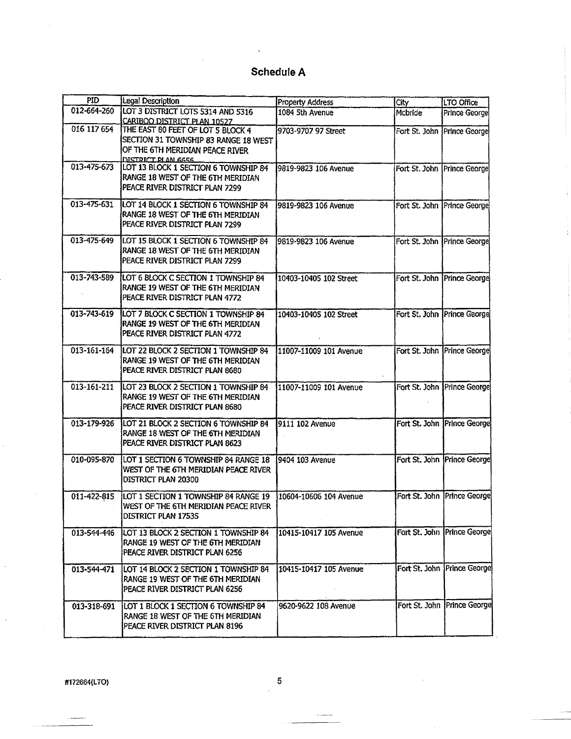| PID.        | Legal Description                                                                                                                  | <b>Property Address</b> | City          | LTO Office                    |
|-------------|------------------------------------------------------------------------------------------------------------------------------------|-------------------------|---------------|-------------------------------|
| 012-664-260 | LOT 3 DISTRICT LOTS 5314 AND 5316<br>CARIBOO DISTRICT PLAN 10527                                                                   | 1084 5th Avenue         | Mcbride       | Prince George                 |
| 016 117 654 | THE EAST 80 FEET OF LOT 5 BLOCK 4<br>SECTION 31 TOWNSHIP 83 RANGE 18 WEST<br>OF THE 6TH MERIDIAN PEACE RIVER<br>DISTRICT PLAN 6656 | 9703-9707 97 Street     |               | Fort St. John Prince George   |
| 013-475-673 | LOT 13 BLOCK 1 SECTION 6 TOWNSHIP 84<br>RANGE 18 WEST OF THE 6TH MERIDIAN<br>PEACE RIVER DISTRICT PLAN 7299                        | 9819-9823 106 Avenue    |               | Fort St. John   Prince George |
| 013-475-631 | LOT 14 BLOCK 1 SECTION 6 TOWNSHIP 84<br>RANGE 18 WEST OF THE 6TH MERIDIAN<br>PEACE RIVER DISTRICT PLAN 7299                        | 9819-9823 106 Avenue    |               | Fort St. John Prince George   |
| 013-475-649 | LOT 15 BLOCK 1 SECTION 6 TOWNSHIP 84<br>RANGE 18 WEST OF THE 5TH MERIDIAN<br>PEACE RIVER DISTRICT PLAN 7299                        | 9819-9823 106 Avenue    |               | Fort St. John Prince George   |
| 013-743-589 | LOT 6 BLOCK C SECTION 1 TOWNSHIP 84<br>RANGE 19 WEST OF THE 6TH MERIDIAN<br>PEACE RIVER DISTRICT PLAN 4772                         | 10403-10405 102 Street  |               | Fort St. John Prince George   |
| 013-743-619 | LOT 7 BLOCK C SECTION 1 TOWNSHIP 84<br><b>IRANGE 19 WEST OF THE 6TH MERIDIAN</b><br>PEACE RIVER DISTRICT PLAN 4772                 | 10403-10405 102 Street  |               | Fort St. John   Prince George |
| 013-161-164 | LOT 22 BLOCK 2 SECTION 1 TOWNSHIP 84<br>RANGE 19 WEST OF THE 6TH MERIDIAN<br>PEACE RIVER DISTRICT PLAN 8680                        | 11007-11009 101 Avenue  |               | Fort St. John   Prince George |
| 013-161-211 | LOT 23 BLOCK 2 SECTION 1 TOWNSHIP 84<br>RANGE 19 WEST OF THE 6TH MERIDIAN<br>PEACE RIVER DISTRICT PLAN 8680                        | 11007-11009 101 Avenue  | Fort St. John | Prince George                 |
| 013-179-926 | LOT 21 BLOCK 2 SECTION 6 TOWNSHIP 84<br>RANGE 18 WEST OF THE 6TH MERIDIAN<br>PEACE RIVER DISTRICT PLAN 8623                        | 9111 102 Avenue         |               | Fort St. John   Prince George |
| 010-095-870 | LOT 1 SECTION 6 TOWNSHIP 84 RANGE 18<br>WEST OF THE 6TH MERIDIAN PEACE RIVER<br>DISTRICT PLAN 20300                                | 9404 103 Avenue         |               | Fort St. John   Prince George |
| 011-422-815 | LOT 1 SECTION 1 TOWNSHIP 84 RANGE 19<br>WEST OF THE 6TH MERIDIAN PEACE RIVER<br>DISTRICT PLAN 17535                                | 10604-10606 104 Avenue  |               | Fort St. John   Prince George |
| 013-544-446 | LOT 13 BLOCK 2 SECTION 1 TOWNSHIP 84<br><b>IRANGE 19 WEST OF THE 6TH MERIDIAN</b><br>PEACE RIVER DISTRICT PLAN 6256                | 10415-10417 105 Avenue  |               | Fort St. John Prince George   |
| 013-544-471 | LOT 14 BLOCK 2 SECTION 1 TOWNSHIP 84<br>RANGE 19 WEST OF THE 6TH MERIDIAN<br>PEACE RIVER DISTRICT PLAN 6256                        | 10415-10417 105 Avenue  |               | Fort St. John   Prince George |
| 013-318-691 | LOT 1 BLOCK 1 SECTION 6 TOWNSHIP 84<br>RANGE 18 WEST OF THE 6TH MERIDIAN<br>PEACE RIVER DISTRICT PLAN 8196                         | 9620-9622 108 Avenue    |               | Fort St. John Prince George   |

#172664(LTO)

 $\overline{5}$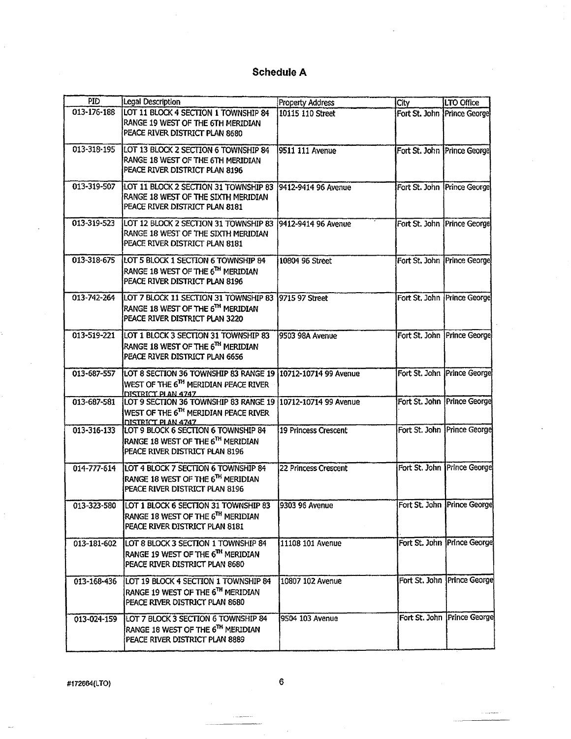| <b>PID</b>  | <b>Legal Description</b>                                                                                                              | Property Address     | City                        | LTO Office                    |
|-------------|---------------------------------------------------------------------------------------------------------------------------------------|----------------------|-----------------------------|-------------------------------|
| 013-176-188 | LOT 11 BLOCK 4 SECTION 1 TOWNSHIP 84<br>RANGE 19 WEST OF THE 6TH MERIDIAN<br>PEACE RIVER DISTRICT PLAN 8680                           | 10115 110 Street     | Fort St. John Prince George |                               |
| 013-318-195 | LOT 13 BLOCK 2 SECTION 6 TOWNSHIP 84<br>RANGE 18 WEST OF THE 6TH MERIDIAN<br>PEACE RIVER DISTRICT PLAN 8196                           | 9511 111 Avenue      | Fort St. John Prince George |                               |
| 013-319-507 | LOT 11 BLOCK 2 SECTION 31 TOWNSHIP 83 9412-9414 96 Avenue<br>RANGE 18 WEST OF THE SIXTH MERIDIAN<br>PEACE RIVER DISTRICT PLAN 8181    |                      |                             | Fort St. John Prince George   |
| 013-319-523 | LOT 12 BLOCK 2 SECTION 31 TOWNSHIP 83  9412-9414 96 Avenue<br>RANGE 18 WEST OF THE SIXTH MERIDIAN<br>PEACE RIVER DISTRICT PLAN 8181   |                      |                             | Fort St. John Prince George   |
| 013-318-675 | LOT 5 BLOCK 1 SECTION 6 TOWNSHIP 84<br>RANGE 18 WEST OF THE 6TH MERIDIAN<br>PEACE RIVER DISTRICT PLAN 8196                            | 10804 96 Street      | Fort St. John Prince George |                               |
| 013-742-264 | LOT 7 BLOCK 11 SECTION 31 TOWNSHIP 83 9715 97 Street<br>RANGE 18 WEST OF THE 6TH MERIDIAN<br>PEACE RIVER DISTRICT PLAN 3220           |                      |                             | Fort St. John   Prince George |
| 013-519-221 | LOT 1 BLOCK 3 SECTION 31 TOWNSHIP 83<br>RANGE 18 WEST OF THE 6TH MERIDIAN<br>PEACE RIVER DISTRICT PLAN 6656                           | 9503 98A Avenue      |                             | Fort St. John Prince George   |
| 013-687-557 | LOT 8 SECTION 36 TOWNSHIP 83 RANGE 19 10712-10714 99 Avenue<br>WEST OF THE 6 <sup>TH</sup> MERIDIAN PEACE RIVER<br>DISTRICT PLAN 4747 |                      |                             | Fort St. John Prince George   |
| 013-687-581 | LOT 9 SECTION 36 TOWNSHIP 83 RANGE 19 10712-10714 99 Avenue<br>WEST OF THE 6TH MERIDIAN PEACE RIVER<br>DISTRICT PLAN 4747             |                      |                             | Fort St. John Prince George   |
| 013-316-133 | LOT 9 BLOCK 6 SECTION 6 TOWNSHIP 84<br>RANGE 18 WEST OF THE 6TH MERIDIAN<br>PEACE RIVER DISTRICT PLAN 8196                            | 19 Princess Crescent |                             | Fort St. John Prince George   |
| 014-777-614 | LOT 4 BLOCK 7 SECTION 6 TOWNSHIP 84<br>RANGE 18 WEST OF THE 6TH MERIDIAN<br>PEACE RIVER DISTRICT PLAN 8196                            | 22 Princess Crescent |                             | Fort St. John   Prince George |
| 013-323-580 | LOT 1 BLOCK 6 SECTION 31 TOWNSHIP 83<br>RANGE 18 WEST OF THE 6TH MERIDIAN<br>PEACE RIVER DISTRICT PLAN 8181                           | 9303 96 Avenue       |                             | Fort St. John Prince George   |
| 013-181-602 | LOT 8 BLOCK 3 SECTION 1 TOWNSHIP 84<br>RANGE 19 WEST OF THE 6TH MERIDIAN<br>PEACE RIVER DISTRICT PLAN 8680                            | 11108 101 Avenue     |                             | Fort St. John Prince George   |
| 013-168-436 | LOT 19 BLOCK 4 SECTION 1 TOWNSHIP 84<br>RANGE 19 WEST OF THE 6TH MERIDIAN<br>PEACE RIVER DISTRICT PLAN 8680                           | 10807 102 Avenue     |                             | Fort St. John   Prince George |
| 013-024-159 | LOT 7 BLOCK 3 SECTION 6 TOWNSHIP 84<br>RANGE 18 WEST OF THE 6TH MERIDIAN<br>PEACE RIVER DISTRICT PLAN 8889                            | 9504 103 Avenue      |                             | Fort St. John   Prince George |

#172664(LTO) 6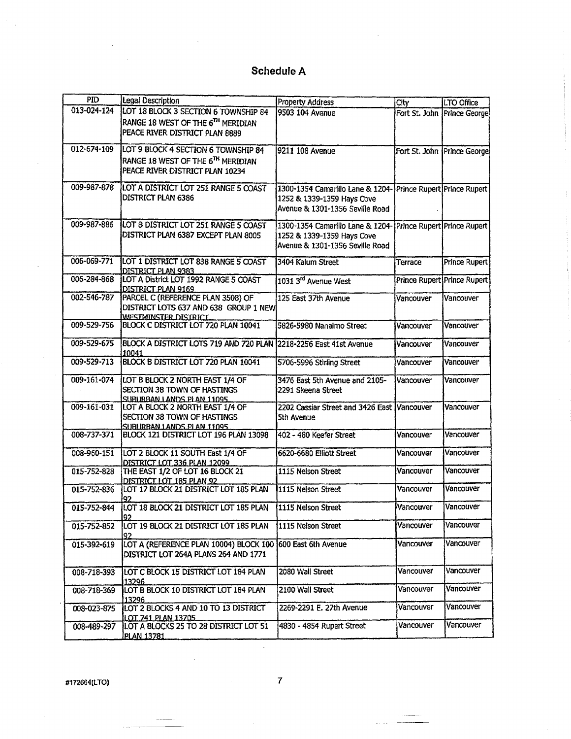| <b>PID</b>  | Legal Description                                          | <b>Property Address</b>                                      | City                        | LTO Office                  |
|-------------|------------------------------------------------------------|--------------------------------------------------------------|-----------------------------|-----------------------------|
| 013-024-124 | LOT 18 BLOCK 3 SECTION 6 TOWNSHIP 84                       | 9503 104 Avenue                                              |                             | Fort St. John Prince George |
|             | RANGE 18 WEST OF THE 6TH MERIDIAN                          |                                                              |                             |                             |
|             |                                                            |                                                              |                             |                             |
|             | PEACE RIVER DISTRICT PLAN 8889                             |                                                              |                             |                             |
| 012-674-109 | LOT 9 BLOCK 4 SECTION 6 TOWNSHIP 84                        | 9211 108 Avenue                                              |                             |                             |
|             |                                                            |                                                              |                             | Fort St. John Prince George |
|             | RANGE 18 WEST OF THE 6TH MERIDIAN                          |                                                              |                             |                             |
|             | PEACE RIVER DISTRICT PLAN 10234                            |                                                              |                             |                             |
|             |                                                            |                                                              |                             |                             |
| 009-987-878 | LOT A DISTRICT LOT 251 RANGE 5 COAST                       | 1300-1354 Camarillo Lane & 1204-Prince Rupert Prince Rupert  |                             |                             |
|             | DISTRICT PLAN 6386                                         | 1252 & 1339-1359 Hays Cove                                   |                             |                             |
|             |                                                            | Avenue & 1301-1356 Seville Road                              |                             |                             |
|             |                                                            |                                                              |                             |                             |
| 009-987-886 | LOT B DISTRICT LOT 251 RANGE 5 COAST                       | 1300-1354 Camarillo Lane & 1204- Prince Rupert Prince Rupert |                             |                             |
|             | DISTRICT PLAN 6387 EXCEPT PLAN 8005                        | 1252 & 1339-1359 Hays Cove                                   |                             |                             |
|             |                                                            | Avenue & 1301-1356 Seville Road                              |                             |                             |
|             |                                                            |                                                              |                             |                             |
| 006-069-771 | LOT 1 DISTRICT LOT 838 RANGE 5 COAST                       | 3404 Kalum Street                                            | Terrace                     | <b>Prince Rupert</b>        |
|             | DISTRICT PLAN 9383                                         |                                                              |                             |                             |
| 006-284-868 | LOT A District LOT 1992 RANGE 5 COAST                      | 1031 3 <sup>rd</sup> Avenue West                             | Prince Rupert Prince Rupert |                             |
|             | DISTRICT PLAN 9169                                         |                                                              |                             |                             |
| 002-546-787 | PARCEL C (REFERENCE PLAN 3508) OF                          | 125 East 37th Avenue                                         | Vancouver                   | Vancouver                   |
|             | DISTRICT LOTS 637 AND 638 GROUP 1 NEW                      |                                                              |                             |                             |
|             | WESTMINSTER DISTRICT                                       |                                                              |                             |                             |
| 009-529-756 | BLOCK C DISTRICT LOT 720 PLAN 10041                        | 5826-5980 Nanaimo Street                                     | Vancouver                   | Vancouver                   |
|             |                                                            |                                                              |                             |                             |
| 009-529-675 | BLOCK A DISTRICT LOTS 719 AND 720 PLAN                     | 2218-2256 East 41st Avenue                                   | Vancouver                   | Vancouver                   |
|             | 10041                                                      |                                                              |                             |                             |
| 009-529-713 | BLOCK B DISTRICT LOT 720 PLAN 10041                        | 5706-5996 Stirling Street                                    | Vancouver                   | Vancouver                   |
|             |                                                            |                                                              |                             |                             |
| 009-161-074 | LOT B BLOCK 2 NORTH EAST 1/4 OF                            | 3476 East 5th Avenue and 2105-                               | Vancouver                   | Vancouver                   |
|             | SECTION 38 TOWN OF HASTINGS                                | 2291 Skeena Street                                           |                             |                             |
|             | SUBURBAN LANDS PLAN 11095                                  |                                                              |                             |                             |
| 009-161-031 | LOT A BLOCK 2 NORTH EAST 1/4 OF                            | 2202 Cassiar Street and 3426 East Vancouver                  |                             | Vancouver                   |
|             | SECTION 38 TOWN OF HASTINGS                                | <b>5th Avenue</b>                                            |                             |                             |
|             | SUBURBAN LANDS PLAN 11095                                  |                                                              |                             |                             |
| 008-737-371 | BLOCK 121 DISTRICT LOT 196 PLAN 13098                      | 402 - 480 Keefer Street                                      | Vancouver                   | Vancouver                   |
|             |                                                            |                                                              |                             |                             |
| 008-960-151 | LOT 2 BLOCK 11 SOUTH East 1/4 OF                           | 6620-6680 Elliott Street                                     | Vancouver                   | Vancouver                   |
|             | DISTRICT LOT 336 PLAN 12099                                |                                                              |                             |                             |
| 015-752-828 | THE EAST 1/2 OF LOT 16 BLOCK 21                            | 1115 Nelson Street                                           | Vancouver                   | Vancouver                   |
|             | DISTRICT LOT 185 PLAN 92                                   |                                                              |                             |                             |
| 015-752-836 | LOT 17 BLOCK 21 DISTRICT LOT 185 PLAN                      | 1115 Nelson Street                                           | Vancouver                   | Vancouver                   |
|             | 97                                                         |                                                              |                             |                             |
| 015-752-844 | LOT 18 BLOCK 21 DISTRICT LOT 185 PLAN                      | 1115 Nelson Street                                           | Vancouver                   | Vancouver                   |
|             | 192                                                        |                                                              |                             |                             |
| 015-752-852 | LOT 19 BLOCK 21 DISTRICT LOT 185 PLAN                      | 1115 Nelson Street                                           | Vancouver                   | Vancouver                   |
|             |                                                            |                                                              |                             |                             |
| 015-392-619 | LOT A (REFERENCE PLAN 10004) BLOCK 100 600 East 6th Avenue |                                                              | Vancouver                   | Vancouver                   |
|             | DISTRICT LOT 264A PLANS 264 AND 1771                       |                                                              |                             |                             |
|             |                                                            |                                                              |                             |                             |
| 008-718-393 | LOT C BLOCK 15 DISTRICT LOT 184 PLAN                       | 2080 Wall Street                                             | Vancouver                   | Vancouver                   |
|             | 13296                                                      |                                                              |                             |                             |
| 008-718-369 | LOT B BLOCK 10 DISTRICT LOT 184 PLAN                       | 2100 Wall Street                                             | Vancouver                   | Vancouver                   |
|             | 13296                                                      |                                                              |                             |                             |
| 008-023-875 | LOT 2 BLOCKS 4 AND 10 TO 13 DISTRICT                       | 2269-2291 E. 27th Avenue                                     | Vancouver                   | Vancouver                   |
|             | LOT 741 PLAN 13705                                         |                                                              |                             |                             |
| 008-489-297 | LOT A BLOCKS 25 TO 28 DISTRICT LOT 51                      | 4830 - 4854 Rupert Street                                    | Vancouver                   | Vancouver                   |
|             | <b>PLAN 13781</b>                                          |                                                              |                             |                             |

#172664(LTO)

 $\overline{7}$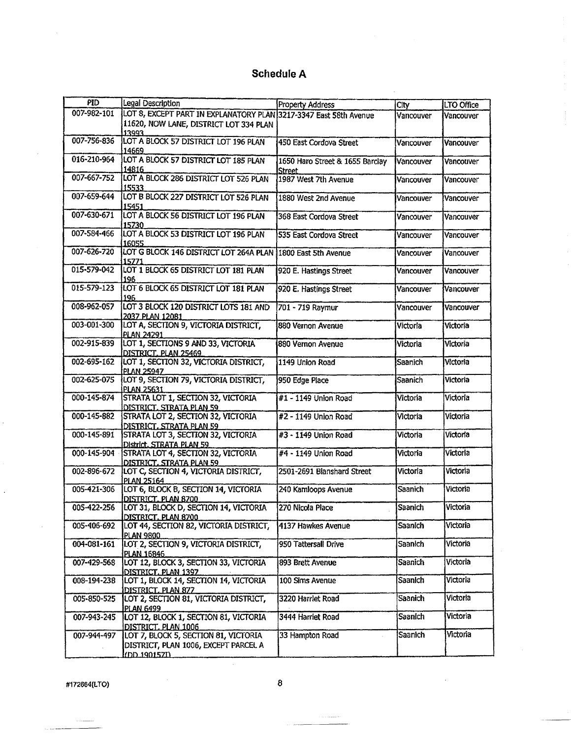| <b>PID</b>  | Legal Description                                                 | Property Address                | City           | LTO Office |
|-------------|-------------------------------------------------------------------|---------------------------------|----------------|------------|
| 007-982-101 | LOT 8, EXCEPT PART IN EXPLANATORY PLAN 3217-3347 East 58th Avenue |                                 | Vancouver      | Vancouver  |
|             | 11620, NOW LANE, DISTRICT LOT 334 PLAN                            |                                 |                |            |
|             | 13993                                                             |                                 |                |            |
| 007-756-836 | LOT A BLOCK 57 DISTRICT LOT 196 PLAN                              | 450 East Cordova Street         |                |            |
|             | 14669                                                             |                                 | Vancouver      | Vancouver  |
| 016-210-964 | LOT A BLOCK 57 DISTRICT LOT 185 PLAN                              |                                 |                |            |
|             |                                                                   | 1650 Haro Street & 1655 Barclay | Vancouver      | Vancouver  |
| 007-667-752 | 14816<br>LOT A BLOCK 286 DISTRICT LOT 526 PLAN                    | Street.                         |                |            |
|             |                                                                   | 1987 West 7th Avenue            | Vancouver      | Vancouver  |
|             | 15533.                                                            |                                 |                |            |
| 007-659-644 | LOT B BLOCK 227 DISTRICT LOT 526 PLAN                             | 1880 West 2nd Avenue            | Vancouver      | Vancouver  |
| 007-630-671 | 15451                                                             |                                 |                |            |
|             | LOT A BLOCK 56 DISTRICT LOT 196 PLAN                              | 368 East Cordova Street         | Vancouver      | Vancouver  |
|             | 15730                                                             |                                 |                |            |
| 007-584-466 | LOT A BLOCK 53 DISTRICT LOT 196 PLAN                              | 535 East Cordova Street         | Vancouver      | Vancouver  |
|             | 16055.                                                            |                                 |                |            |
| 007-626-720 | LOT G BLOCK 146 DISTRICT LOT 264A PLAN 1800 East 5th Avenue       |                                 | Vancouver      | Vancouver  |
|             | 15771                                                             |                                 |                |            |
| 015-579-042 | LOT 1 BLOCK 65 DISTRICT LOT 181 PLAN                              | 920 E. Hastings Street          | Vancouver      | Vancouver  |
|             | 196                                                               |                                 |                |            |
| 015-579-123 | LOT 6 BLOCK 65 DISTRICT LOT 181 PLAN                              | 920 E. Hastings Street          | Vancouver      | Vancouver  |
|             | 196                                                               |                                 |                |            |
| 008-962-057 | LOT 3 BLOCK 120 DISTRICT LOTS 181 AND                             | 701 - 719 Raymur                | Vancouver      | Vancouver  |
|             | 2037 PLAN 12081                                                   |                                 |                |            |
| 003-001-300 | LOT A, SECTION 9, VICTORIA DISTRICT.                              | 880 Vernon Avenue               | Victoria       | Victoria   |
|             | <b>PLAN 24291</b>                                                 |                                 |                |            |
| 002-915-839 | LOT 1, SECTIONS 9 AND 33, VICTORIA                                | 880 Vernon Avenue               | Victoria       | Victoria   |
|             | DISTRICT. PLAN 25469                                              |                                 |                |            |
| 002-695-162 | LOT 1, SECTION 32, VICTORIA DISTRICT,                             | 1149 Union Road                 | Saanich        | Victoria   |
|             | <b>PLAN 25947</b>                                                 |                                 |                |            |
| 002-625-075 | LOT 9, SECTION 79, VICTORIA DISTRICT,                             | 950 Edge Place                  | Saanich        | Victoria   |
|             | PLAN 25631                                                        |                                 |                |            |
| 000-145-874 | STRATA LOT 1, SECTION 32, VICTORIA                                | #1 - 1149 Union Road            | Victoria       | Victoria   |
|             | DISTRICT. STRATA PLAN 59                                          |                                 |                |            |
| 000-145-882 | STRATA LOT 2, SECTION 32, VICTORIA                                | #2 - 1149 Union Road            | Victoria       | Victoria   |
|             | DISTRICT. STRATA PLAN 59                                          |                                 |                |            |
| 000-145-891 | STRATA LOT 3, SECTION 32, VICTORIA                                | #3 - 1149 Union Road            | Victoria       | Victoria   |
|             | District. STRATA PLAN 59                                          |                                 |                |            |
| 000-145-904 | <b>STRATA LOT 4, SECTION 32, VICTORIA</b>                         | #4 - 1149 Union Road            | Victoria       | Victoria   |
|             | DISTRICT. STRATA PLAN 59                                          |                                 |                |            |
| 002-896-672 | LOT C, SECTION 4, VICTORIA DISTRICT,                              | 2501-2691 Blanshard Street      | Victoria       | Victoria   |
|             | <b>PLAN 25164</b>                                                 |                                 |                |            |
| 005-421-306 | LOT 6, BLOCK B, SECTION 14, VICTORIA                              | 240 Kamloops Avenue             | Saanich        | Victoria   |
|             | DISTRICT. PLAN 8700                                               |                                 |                |            |
| 005-422-256 | LOT 31, BLOCK D, SECTION 14, VICTORIA                             | 270 Nicola Place                | Saanich        | Victoria   |
|             | DISTRICT. PLAN 8700                                               |                                 |                |            |
| 005-406-692 | LOT 44, SECTION 82, VICTORIA DISTRICT,                            | 4137 Hawkes Avenue              | Saanich        | Victoria   |
|             | <b>PLAN 9800</b>                                                  |                                 |                |            |
| 004-081-161 | LOT 2, SECTION 9, VICTORIA DISTRICT,                              | 950 Tattersall Drive            | Saanich        | Victoria   |
|             | PLAN 16846                                                        |                                 |                |            |
| 007-429-568 | LOT 12, BLOCK 3, SECTION 33, VICTORIA                             | 893 Brett Avenue                | Saanich        | Victoria   |
|             | DISTRICT, PLAN 1397                                               |                                 |                |            |
| 008-194-238 | LOT 1, BLOCK 14, SECTION 14, VICTORIA                             | 100 Sims Avenue                 | Saanich        | Victoria   |
|             | DISTRICT, PLAN 877                                                |                                 |                |            |
| 005-850-525 | LOT 2, SECTION 81, VICTORIA DISTRICT,                             | 3220 Harriet Road               | <b>Saanich</b> | Victoria   |
|             | <b>PLAN 6499</b>                                                  |                                 |                |            |
| 007-943-245 | LOT 12, BLOCK 1, SECTION 81, VICTORIA                             | 3444 Harriet Road               | Saanich        | Victoria   |
|             | DISTRICT, PLAN 1006                                               |                                 |                |            |
| 007-944-497 | LOT 7, BLOCK 5, SECTION 81, VICTORIA                              | 33 Hampton Road                 | Saanich        | Victoria   |
|             | DISTRICT, PLAN 1006, EXCEPT PARCEL A                              |                                 |                |            |
|             | ורקאומטו רוחו                                                     |                                 |                |            |

#172664(LTO)

 $\ddot{\phantom{a}}$ 

 $\pmb{8}$ 

. . . . .